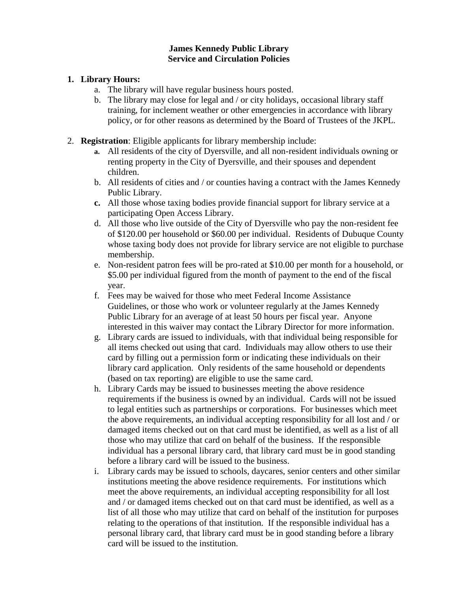## **James Kennedy Public Library Service and Circulation Policies**

## **1. Library Hours:**

- a. The library will have regular business hours posted.
- b. The library may close for legal and / or city holidays, occasional library staff training, for inclement weather or other emergencies in accordance with library policy, or for other reasons as determined by the Board of Trustees of the JKPL.
- 2. **Registration**: Eligible applicants for library membership include:
	- **a.** All residents of the city of Dyersville, and all non-resident individuals owning or renting property in the City of Dyersville, and their spouses and dependent children.
	- b. All residents of cities and / or counties having a contract with the James Kennedy Public Library.
	- **c.** All those whose taxing bodies provide financial support for library service at a participating Open Access Library.
	- d. All those who live outside of the City of Dyersville who pay the non-resident fee of \$120.00 per household or \$60.00 per individual. Residents of Dubuque County whose taxing body does not provide for library service are not eligible to purchase membership.
	- e. Non-resident patron fees will be pro-rated at \$10.00 per month for a household, or \$5.00 per individual figured from the month of payment to the end of the fiscal year.
	- f. Fees may be waived for those who meet Federal Income Assistance Guidelines, or those who work or volunteer regularly at the James Kennedy Public Library for an average of at least 50 hours per fiscal year. Anyone interested in this waiver may contact the Library Director for more information.
	- g. Library cards are issued to individuals, with that individual being responsible for all items checked out using that card. Individuals may allow others to use their card by filling out a permission form or indicating these individuals on their library card application. Only residents of the same household or dependents (based on tax reporting) are eligible to use the same card.
	- h. Library Cards may be issued to businesses meeting the above residence requirements if the business is owned by an individual. Cards will not be issued to legal entities such as partnerships or corporations. For businesses which meet the above requirements, an individual accepting responsibility for all lost and / or damaged items checked out on that card must be identified, as well as a list of all those who may utilize that card on behalf of the business. If the responsible individual has a personal library card, that library card must be in good standing before a library card will be issued to the business.
	- i. Library cards may be issued to schools, daycares, senior centers and other similar institutions meeting the above residence requirements. For institutions which meet the above requirements, an individual accepting responsibility for all lost and / or damaged items checked out on that card must be identified, as well as a list of all those who may utilize that card on behalf of the institution for purposes relating to the operations of that institution. If the responsible individual has a personal library card, that library card must be in good standing before a library card will be issued to the institution.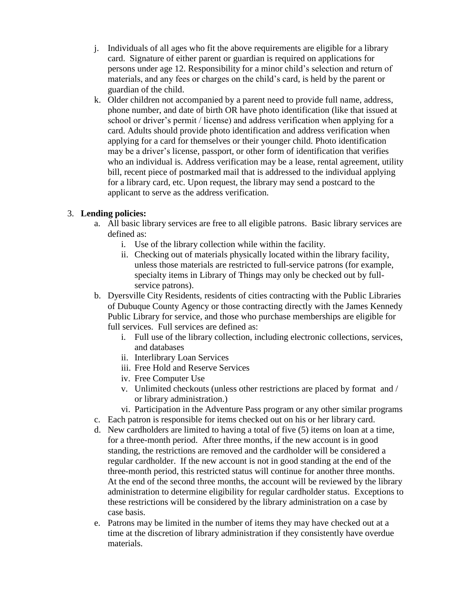- j. Individuals of all ages who fit the above requirements are eligible for a library card. Signature of either parent or guardian is required on applications for persons under age 12. Responsibility for a minor child's selection and return of materials, and any fees or charges on the child's card, is held by the parent or guardian of the child.
- k. Older children not accompanied by a parent need to provide full name, address, phone number, and date of birth OR have photo identification (like that issued at school or driver's permit / license) and address verification when applying for a card. Adults should provide photo identification and address verification when applying for a card for themselves or their younger child. Photo identification may be a driver's license, passport, or other form of identification that verifies who an individual is. Address verification may be a lease, rental agreement, utility bill, recent piece of postmarked mail that is addressed to the individual applying for a library card, etc. Upon request, the library may send a postcard to the applicant to serve as the address verification.

## 3. **Lending policies:**

- a. All basic library services are free to all eligible patrons. Basic library services are defined as:
	- i. Use of the library collection while within the facility.
	- ii. Checking out of materials physically located within the library facility, unless those materials are restricted to full-service patrons (for example, specialty items in Library of Things may only be checked out by fullservice patrons).
- b. Dyersville City Residents, residents of cities contracting with the Public Libraries of Dubuque County Agency or those contracting directly with the James Kennedy Public Library for service, and those who purchase memberships are eligible for full services. Full services are defined as:
	- i. Full use of the library collection, including electronic collections, services, and databases
	- ii. Interlibrary Loan Services
	- iii. Free Hold and Reserve Services
	- iv. Free Computer Use
	- v. Unlimited checkouts (unless other restrictions are placed by format and / or library administration.)
	- vi. Participation in the Adventure Pass program or any other similar programs
- c. Each patron is responsible for items checked out on his or her library card.
- d. New cardholders are limited to having a total of five (5) items on loan at a time, for a three-month period. After three months, if the new account is in good standing, the restrictions are removed and the cardholder will be considered a regular cardholder. If the new account is not in good standing at the end of the three-month period, this restricted status will continue for another three months. At the end of the second three months, the account will be reviewed by the library administration to determine eligibility for regular cardholder status. Exceptions to these restrictions will be considered by the library administration on a case by case basis.
- e. Patrons may be limited in the number of items they may have checked out at a time at the discretion of library administration if they consistently have overdue materials.